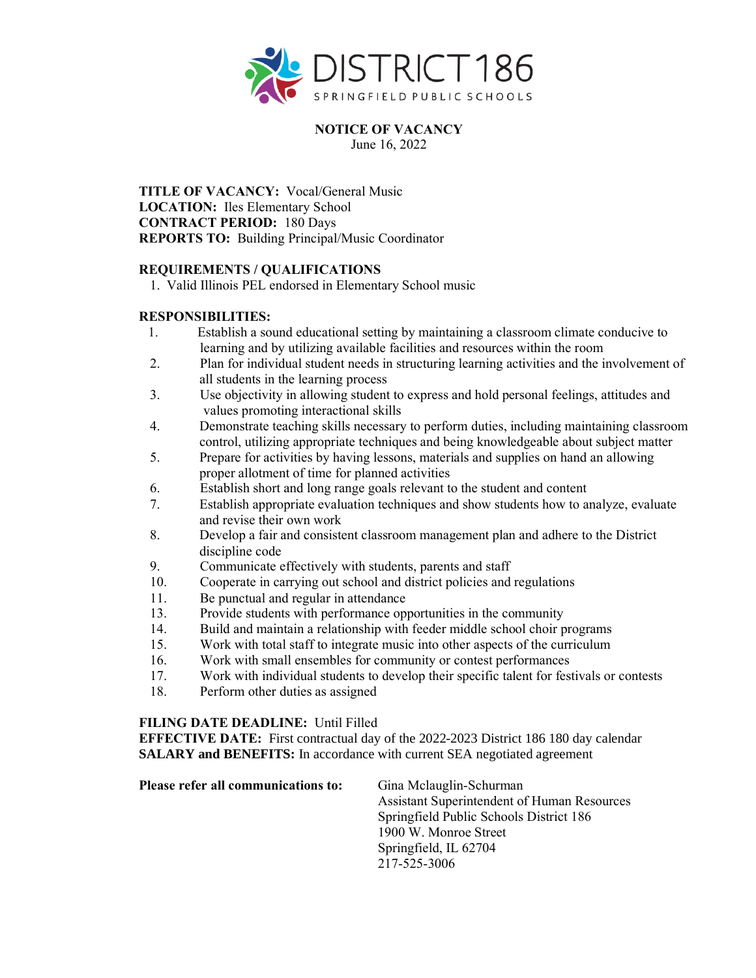

**NOTICE OF VACANCY** June 16, 2022

**TITLE OF VACANCY:** Vocal/General Music **LOCATION:** Iles Elementary School **CONTRACT PERIOD:** 180 Days **REPORTS TO:** Building Principal/Music Coordinator

## **REQUIREMENTS / QUALIFICATIONS**

1. Valid Illinois PEL endorsed in Elementary School music

## **RESPONSIBILITIES:**

- 1. Establish a sound educational setting by maintaining a classroom climate conducive to learning and by utilizing available facilities and resources within the room
- 2. Plan for individual student needs in structuring learning activities and the involvement of all students in the learning process
- 3. Use objectivity in allowing student to express and hold personal feelings, attitudes and values promoting interactional skills
- 4. Demonstrate teaching skills necessary to perform duties, including maintaining classroom control, utilizing appropriate techniques and being knowledgeable about subject matter
- 5. Prepare for activities by having lessons, materials and supplies on hand an allowing proper allotment of time for planned activities
- 6. Establish short and long range goals relevant to the student and content
- 7. Establish appropriate evaluation techniques and show students how to analyze, evaluate and revise their own work
- 8. Develop a fair and consistent classroom management plan and adhere to the District discipline code
- 9. Communicate effectively with students, parents and staff
- 10. Cooperate in carrying out school and district policies and regulations
- 11. Be punctual and regular in attendance
- 13. Provide students with performance opportunities in the community
- 14. Build and maintain a relationship with feeder middle school choir programs
- 15. Work with total staff to integrate music into other aspects of the curriculum
- 16. Work with small ensembles for community or contest performances
- 17. Work with individual students to develop their specific talent for festivals or contests
- 18. Perform other duties as assigned

## **FILING DATE DEADLINE:** Until Filled

**EFFECTIVE DATE:** First contractual day of the 2022-2023 District 186 180 day calendar **SALARY and BENEFITS:** In accordance with current SEA negotiated agreement

| Please refer all communications to: | Gina Mclauglin-Schurman                     |
|-------------------------------------|---------------------------------------------|
|                                     | Assistant Superintendent of Human Resources |
|                                     | Springfield Public Schools District 186     |
|                                     | 1900 W. Monroe Street                       |
|                                     | Springfield, IL 62704                       |
|                                     | 217-525-3006                                |